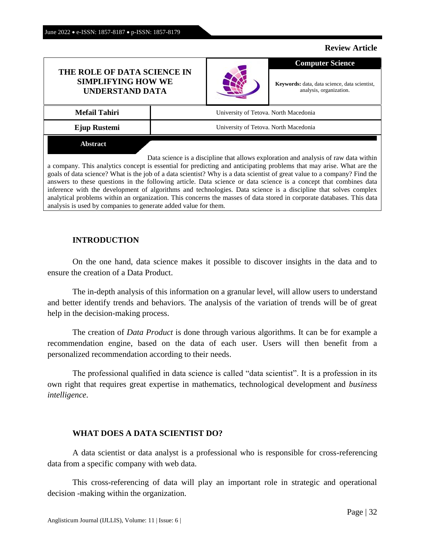# **Review Article**

# **THE ROLE OF DATA SCIENCE IN SIMPLIFYING HOW WE UNDERSTAND DATA**



**Keywords:** data, data science, data scientist, analysis, organization.

**Computer Science**

| <b>Mefail Tahiri</b> | University of Tetova. North Macedonia |
|----------------------|---------------------------------------|
| Ejup Rustemi         | University of Tetova. North Macedonia |
| Abstract             |                                       |

Data science is a discipline that allows exploration and analysis of raw data within a company. This analytics concept is essential for predicting and anticipating problems that may arise. What are the goals of data science? What is the job of a data scientist? Why is a data scientist of great value to a company? Find the answers to these questions in the following article. Data science or data science is a concept that combines data inference with the development of algorithms and technologies. Data science is a discipline that solves complex analytical problems within an organization. This concerns the masses of data stored in corporate databases. This data analysis is used by companies to generate added value for them.

# **INTRODUCTION**

On the one hand, data science makes it possible to discover insights in the data and to ensure the creation of a Data Product.

The in-depth analysis of this information on a granular level, will allow users to understand and better identify trends and behaviors. The analysis of the variation of trends will be of great help in the decision-making process.

The creation of *Data Product* is done through various algorithms. It can be for example a recommendation engine, based on the data of each user. Users will then benefit from a personalized recommendation according to their needs.

The professional qualified in data science is called "data scientist". It is a profession in its own right that requires great expertise in mathematics, technological development and *business intelligence*.

# **WHAT DOES A DATA SCIENTIST DO?**

A data scientist or data analyst is a professional who is responsible for cross-referencing data from a specific company with web data.

This cross-referencing of data will play an important role in strategic and operational decision -making within the organization.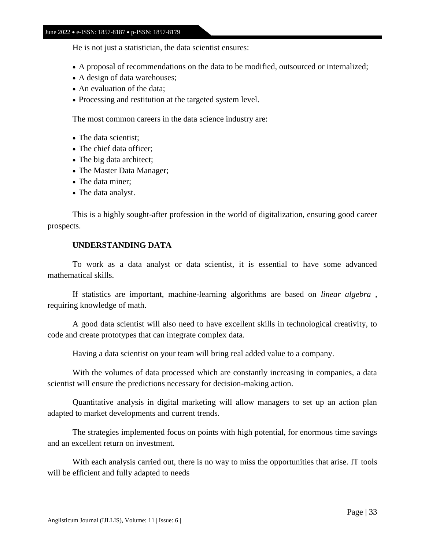#### June 2022 • e-ISSN: 1857-8187 • p-ISSN: 1857-8179

He is not just a statistician, the data scientist ensures:

- A proposal of recommendations on the data to be modified, outsourced or internalized;
- A design of data warehouses;
- An evaluation of the data;
- Processing and restitution at the targeted system level.

The most common careers in the data science industry are:

- The data scientist:
- The chief data officer:
- The big data architect;
- The Master Data Manager;
- The data miner:
- The data analyst.

This is a highly sought-after profession in the world of digitalization, ensuring good career prospects.

# **UNDERSTANDING DATA**

To work as a data analyst or data scientist, it is essential to have some advanced mathematical skills.

If statistics are important, machine-learning algorithms are based on *linear algebra* , requiring knowledge of math.

A good data scientist will also need to have excellent skills in technological creativity, to code and create prototypes that can integrate complex data.

Having a data scientist on your team will bring real added value to a company.

With the volumes of data processed which are constantly increasing in companies, a data scientist will ensure the predictions necessary for decision-making action.

Quantitative analysis in digital marketing will allow managers to set up an action plan adapted to market developments and current trends.

The strategies implemented focus on points with high potential, for enormous time savings and an excellent return on investment.

With each analysis carried out, there is no way to miss the opportunities that arise. IT tools will be efficient and fully adapted to needs